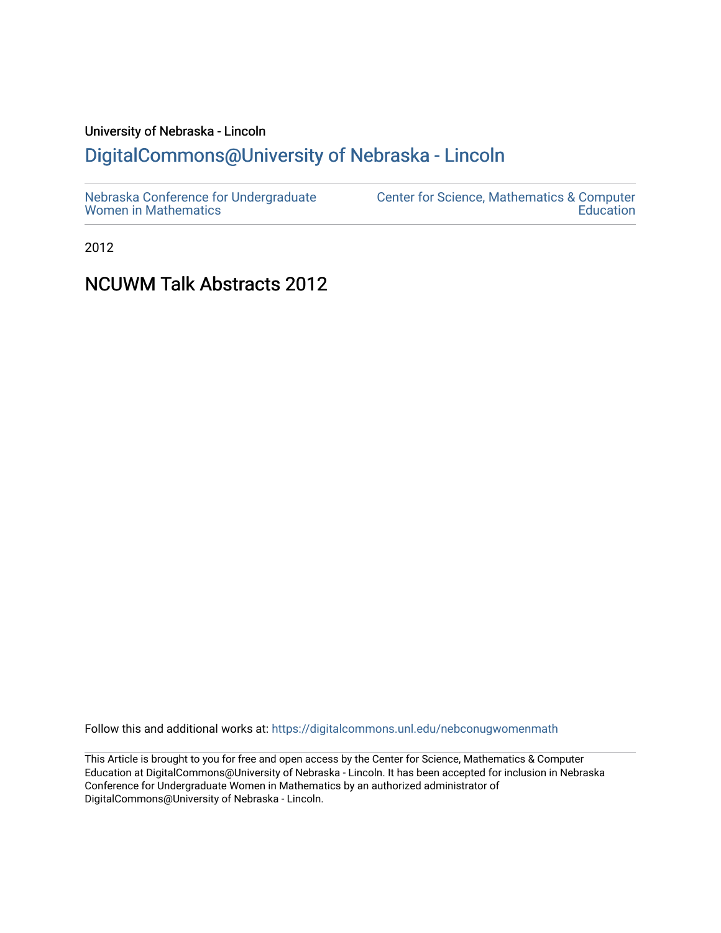# University of Nebraska - Lincoln [DigitalCommons@University of Nebraska - Lincoln](https://digitalcommons.unl.edu/)

2012

# NCUWM Talk Abstracts 2012

Follow this and additional works at: [https://digitalcommons.unl.edu/nebconugwomenmath](https://digitalcommons.unl.edu/nebconugwomenmath?utm_source=digitalcommons.unl.edu%2Fnebconugwomenmath%2F15&utm_medium=PDF&utm_campaign=PDFCoverPages)

This Article is brought to you for free and open access by the Center for Science, Mathematics & Computer Education at DigitalCommons@University of Nebraska - Lincoln. It has been accepted for inclusion in Nebraska Conference for Undergraduate Women in Mathematics by an authorized administrator of DigitalCommons@University of Nebraska - Lincoln.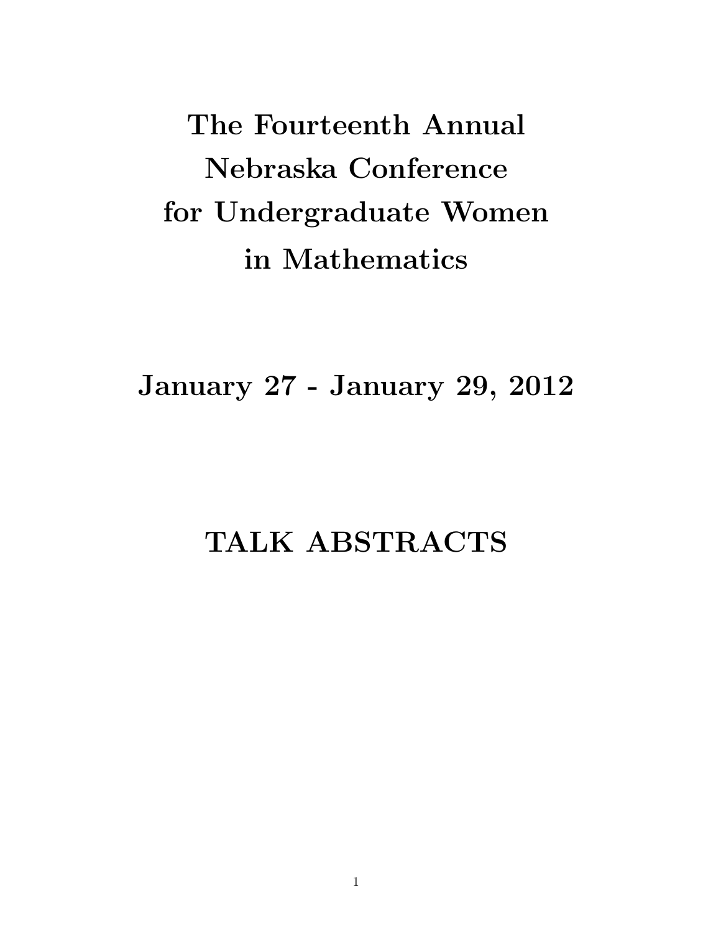The Fourteenth Annual Nebraska Conference for Undergraduate Women in Mathematics

January 27 - January 29, 2012

# TALK ABSTRACTS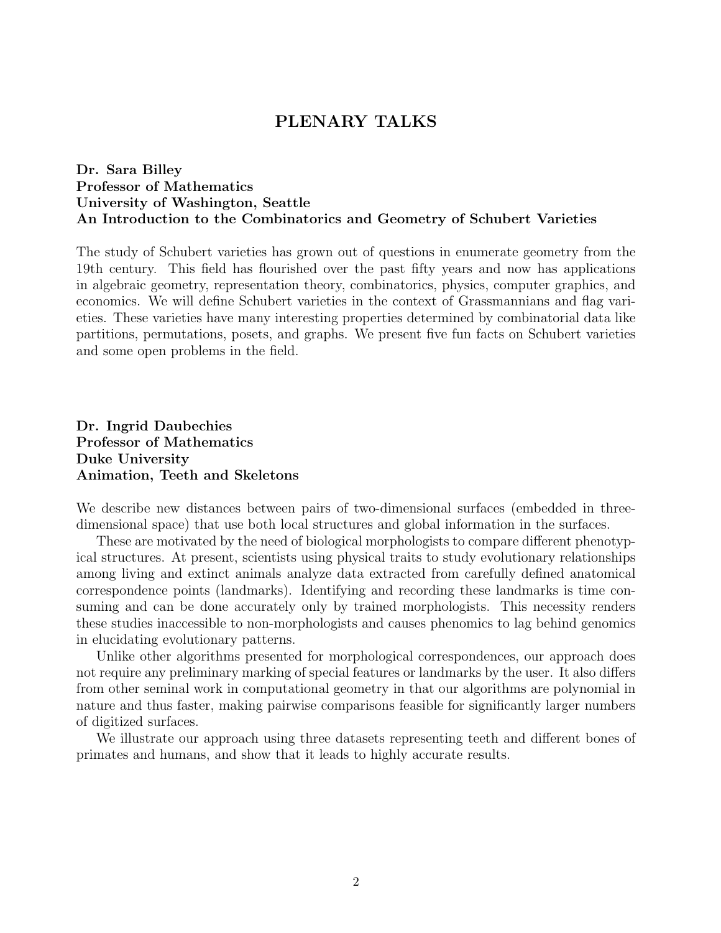## PLENARY TALKS

### Dr. Sara Billey Professor of Mathematics University of Washington, Seattle An Introduction to the Combinatorics and Geometry of Schubert Varieties

The study of Schubert varieties has grown out of questions in enumerate geometry from the 19th century. This field has flourished over the past fifty years and now has applications in algebraic geometry, representation theory, combinatorics, physics, computer graphics, and economics. We will define Schubert varieties in the context of Grassmannians and flag varieties. These varieties have many interesting properties determined by combinatorial data like partitions, permutations, posets, and graphs. We present five fun facts on Schubert varieties and some open problems in the field.

## Dr. Ingrid Daubechies Professor of Mathematics Duke University Animation, Teeth and Skeletons

We describe new distances between pairs of two-dimensional surfaces (embedded in threedimensional space) that use both local structures and global information in the surfaces.

These are motivated by the need of biological morphologists to compare different phenotypical structures. At present, scientists using physical traits to study evolutionary relationships among living and extinct animals analyze data extracted from carefully defined anatomical correspondence points (landmarks). Identifying and recording these landmarks is time consuming and can be done accurately only by trained morphologists. This necessity renders these studies inaccessible to non-morphologists and causes phenomics to lag behind genomics in elucidating evolutionary patterns.

Unlike other algorithms presented for morphological correspondences, our approach does not require any preliminary marking of special features or landmarks by the user. It also differs from other seminal work in computational geometry in that our algorithms are polynomial in nature and thus faster, making pairwise comparisons feasible for significantly larger numbers of digitized surfaces.

We illustrate our approach using three datasets representing teeth and different bones of primates and humans, and show that it leads to highly accurate results.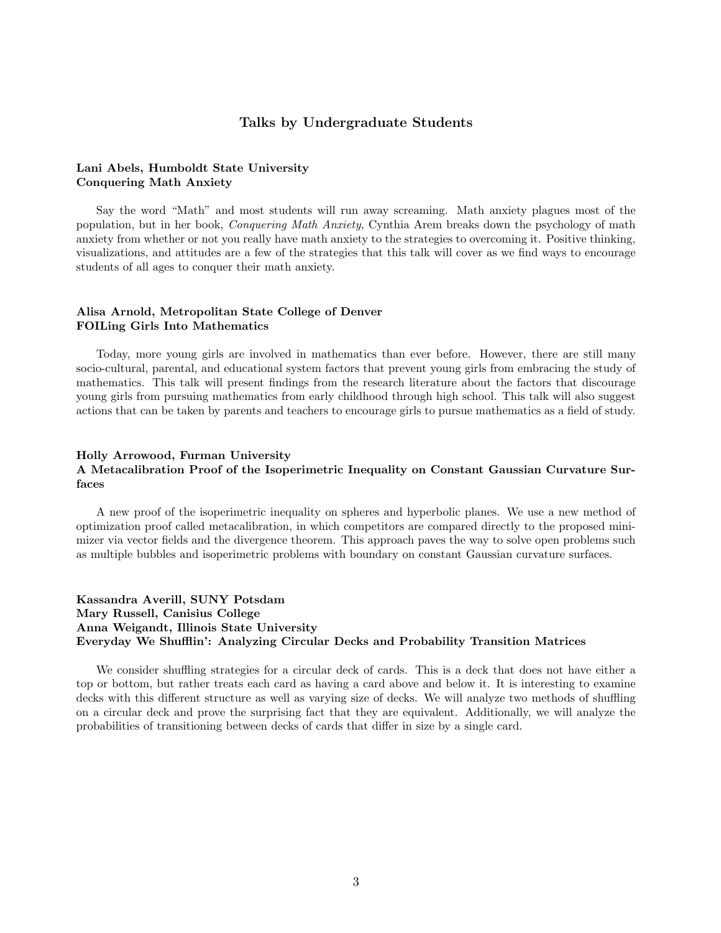#### Talks by Undergraduate Students

#### Lani Abels, Humboldt State University Conquering Math Anxiety

Say the word "Math" and most students will run away screaming. Math anxiety plagues most of the population, but in her book, Conquering Math Anxiety, Cynthia Arem breaks down the psychology of math anxiety from whether or not you really have math anxiety to the strategies to overcoming it. Positive thinking, visualizations, and attitudes are a few of the strategies that this talk will cover as we find ways to encourage students of all ages to conquer their math anxiety.

#### Alisa Arnold, Metropolitan State College of Denver FOILing Girls Into Mathematics

Today, more young girls are involved in mathematics than ever before. However, there are still many socio-cultural, parental, and educational system factors that prevent young girls from embracing the study of mathematics. This talk will present findings from the research literature about the factors that discourage young girls from pursuing mathematics from early childhood through high school. This talk will also suggest actions that can be taken by parents and teachers to encourage girls to pursue mathematics as a field of study.

#### Holly Arrowood, Furman University A Metacalibration Proof of the Isoperimetric Inequality on Constant Gaussian Curvature Surfaces

A new proof of the isoperimetric inequality on spheres and hyperbolic planes. We use a new method of optimization proof called metacalibration, in which competitors are compared directly to the proposed minimizer via vector fields and the divergence theorem. This approach paves the way to solve open problems such as multiple bubbles and isoperimetric problems with boundary on constant Gaussian curvature surfaces.

#### Kassandra Averill, SUNY Potsdam Mary Russell, Canisius College Anna Weigandt, Illinois State University Everyday We Shufflin': Analyzing Circular Decks and Probability Transition Matrices

We consider shuffling strategies for a circular deck of cards. This is a deck that does not have either a top or bottom, but rather treats each card as having a card above and below it. It is interesting to examine decks with this different structure as well as varying size of decks. We will analyze two methods of shuffling on a circular deck and prove the surprising fact that they are equivalent. Additionally, we will analyze the probabilities of transitioning between decks of cards that differ in size by a single card.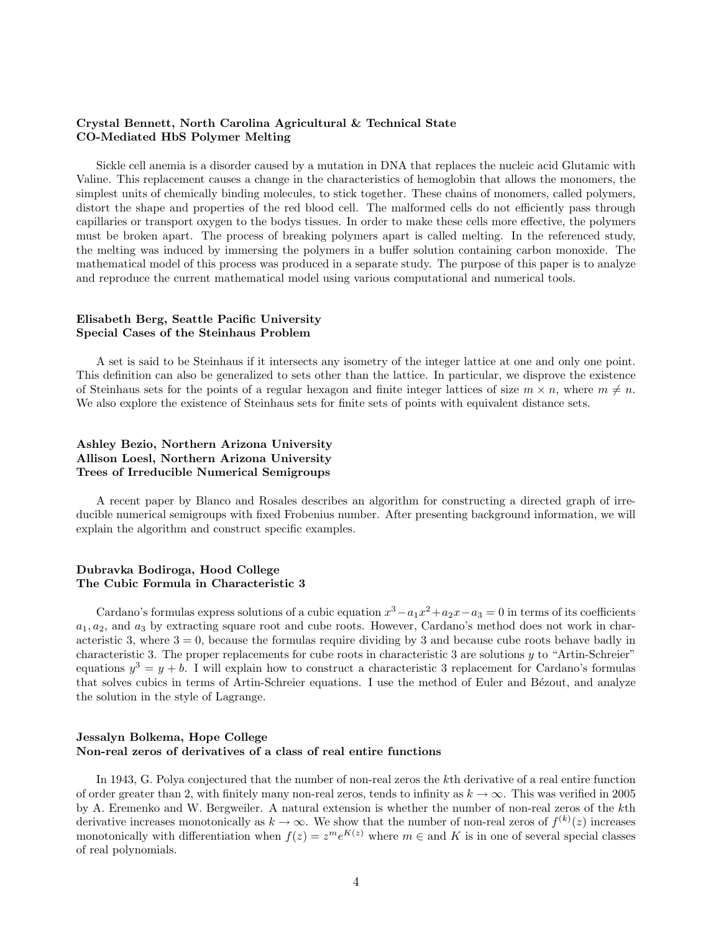#### Crystal Bennett, North Carolina Agricultural & Technical State CO-Mediated HbS Polymer Melting

Sickle cell anemia is a disorder caused by a mutation in DNA that replaces the nucleic acid Glutamic with Valine. This replacement causes a change in the characteristics of hemoglobin that allows the monomers, the simplest units of chemically binding molecules, to stick together. These chains of monomers, called polymers, distort the shape and properties of the red blood cell. The malformed cells do not efficiently pass through capillaries or transport oxygen to the bodys tissues. In order to make these cells more effective, the polymers must be broken apart. The process of breaking polymers apart is called melting. In the referenced study, the melting was induced by immersing the polymers in a buffer solution containing carbon monoxide. The mathematical model of this process was produced in a separate study. The purpose of this paper is to analyze and reproduce the current mathematical model using various computational and numerical tools.

#### Elisabeth Berg, Seattle Pacific University Special Cases of the Steinhaus Problem

A set is said to be Steinhaus if it intersects any isometry of the integer lattice at one and only one point. This definition can also be generalized to sets other than the lattice. In particular, we disprove the existence of Steinhaus sets for the points of a regular hexagon and finite integer lattices of size  $m \times n$ , where  $m \neq n$ . We also explore the existence of Steinhaus sets for finite sets of points with equivalent distance sets.

#### Ashley Bezio, Northern Arizona University Allison Loesl, Northern Arizona University Trees of Irreducible Numerical Semigroups

A recent paper by Blanco and Rosales describes an algorithm for constructing a directed graph of irreducible numerical semigroups with fixed Frobenius number. After presenting background information, we will explain the algorithm and construct specific examples.

#### Dubravka Bodiroga, Hood College The Cubic Formula in Characteristic 3

Cardano's formulas express solutions of a cubic equation  $x^3 - a_1x^2 + a_2x - a_3 = 0$  in terms of its coefficients  $a_1, a_2$ , and  $a_3$  by extracting square root and cube roots. However, Cardano's method does not work in characteristic 3, where  $3 = 0$ , because the formulas require dividing by 3 and because cube roots behave badly in characteristic 3. The proper replacements for cube roots in characteristic 3 are solutions  $y$  to "Artin-Schreier" equations  $y^3 = y + b$ . I will explain how to construct a characteristic 3 replacement for Cardano's formulas that solves cubics in terms of Artin-Schreier equations. I use the method of Euler and Bézout, and analyze the solution in the style of Lagrange.

#### Jessalyn Bolkema, Hope College Non-real zeros of derivatives of a class of real entire functions

In 1943, G. Polya conjectured that the number of non-real zeros the kth derivative of a real entire function of order greater than 2, with finitely many non-real zeros, tends to infinity as  $k \to \infty$ . This was verified in 2005 by A. Eremenko and W. Bergweiler. A natural extension is whether the number of non-real zeros of the kth derivative increases monotonically as  $k \to \infty$ . We show that the number of non-real zeros of  $f^{(k)}(z)$  increases monotonically with differentiation when  $f(z) = z^m e^{K(z)}$  where  $m \in \text{and } K$  is in one of several special classes of real polynomials.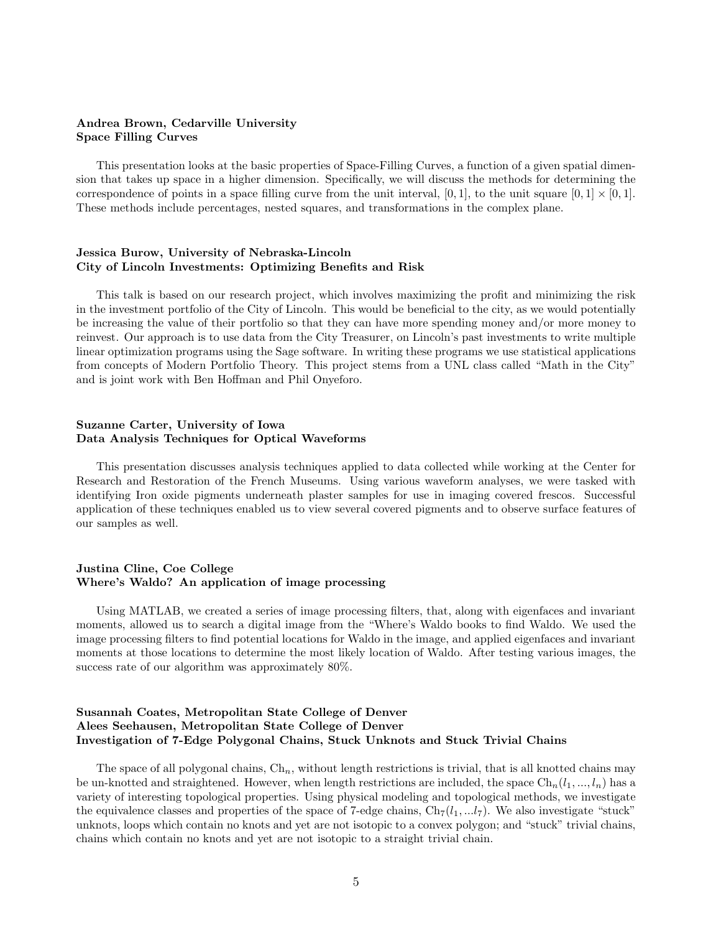#### Andrea Brown, Cedarville University Space Filling Curves

This presentation looks at the basic properties of Space-Filling Curves, a function of a given spatial dimension that takes up space in a higher dimension. Specifically, we will discuss the methods for determining the correspondence of points in a space filling curve from the unit interval, [0, 1], to the unit square  $[0, 1] \times [0, 1]$ . These methods include percentages, nested squares, and transformations in the complex plane.

#### Jessica Burow, University of Nebraska-Lincoln City of Lincoln Investments: Optimizing Benefits and Risk

This talk is based on our research project, which involves maximizing the profit and minimizing the risk in the investment portfolio of the City of Lincoln. This would be beneficial to the city, as we would potentially be increasing the value of their portfolio so that they can have more spending money and/or more money to reinvest. Our approach is to use data from the City Treasurer, on Lincoln's past investments to write multiple linear optimization programs using the Sage software. In writing these programs we use statistical applications from concepts of Modern Portfolio Theory. This project stems from a UNL class called "Math in the City" and is joint work with Ben Hoffman and Phil Onyeforo.

#### Suzanne Carter, University of Iowa Data Analysis Techniques for Optical Waveforms

This presentation discusses analysis techniques applied to data collected while working at the Center for Research and Restoration of the French Museums. Using various waveform analyses, we were tasked with identifying Iron oxide pigments underneath plaster samples for use in imaging covered frescos. Successful application of these techniques enabled us to view several covered pigments and to observe surface features of our samples as well.

#### Justina Cline, Coe College Where's Waldo? An application of image processing

Using MATLAB, we created a series of image processing filters, that, along with eigenfaces and invariant moments, allowed us to search a digital image from the "Where's Waldo books to find Waldo. We used the image processing filters to find potential locations for Waldo in the image, and applied eigenfaces and invariant moments at those locations to determine the most likely location of Waldo. After testing various images, the success rate of our algorithm was approximately 80%.

#### Susannah Coates, Metropolitan State College of Denver Alees Seehausen, Metropolitan State College of Denver Investigation of 7-Edge Polygonal Chains, Stuck Unknots and Stuck Trivial Chains

The space of all polygonal chains,  $\mathrm{Ch}_n$ , without length restrictions is trivial, that is all knotted chains may be un-knotted and straightened. However, when length restrictions are included, the space  $\mathrm{Ch}_n(l_1, ..., l_n)$  has a variety of interesting topological properties. Using physical modeling and topological methods, we investigate the equivalence classes and properties of the space of 7-edge chains,  $Ch_7(l_1, ... l_7)$ . We also investigate "stuck" unknots, loops which contain no knots and yet are not isotopic to a convex polygon; and "stuck" trivial chains, chains which contain no knots and yet are not isotopic to a straight trivial chain.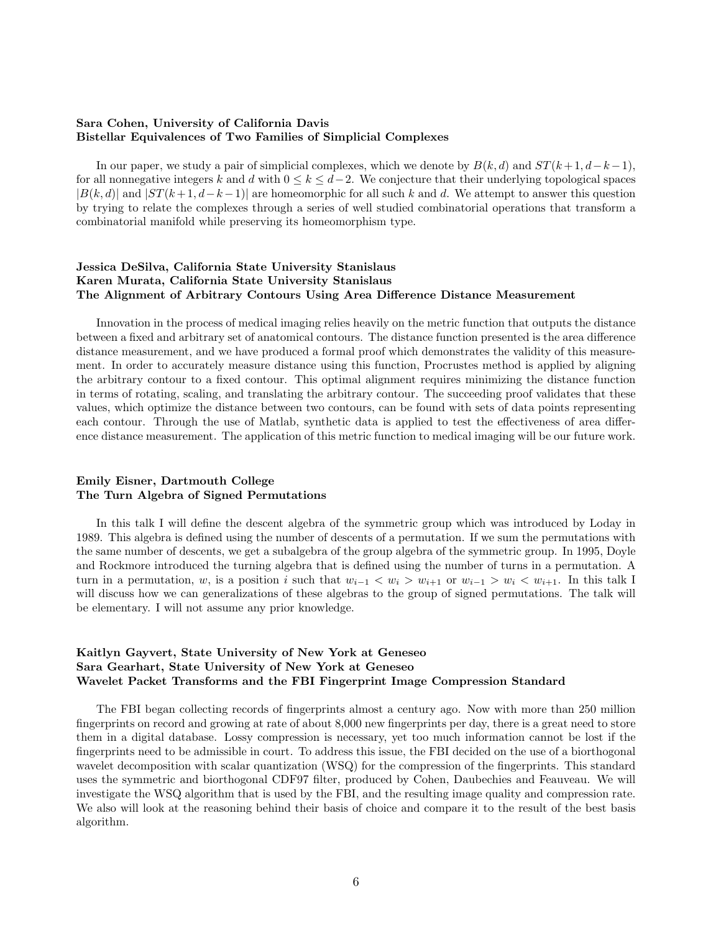#### Sara Cohen, University of California Davis Bistellar Equivalences of Two Families of Simplicial Complexes

In our paper, we study a pair of simplicial complexes, which we denote by  $B(k, d)$  and  $ST(k + 1, d - k - 1)$ , for all nonnegative integers k and d with  $0 \le k \le d-2$ . We conjecture that their underlying topological spaces  $|B(k, d)|$  and  $|ST(k + 1, d - k - 1)|$  are homeomorphic for all such k and d. We attempt to answer this question by trying to relate the complexes through a series of well studied combinatorial operations that transform a combinatorial manifold while preserving its homeomorphism type.

#### Jessica DeSilva, California State University Stanislaus Karen Murata, California State University Stanislaus The Alignment of Arbitrary Contours Using Area Difference Distance Measurement

Innovation in the process of medical imaging relies heavily on the metric function that outputs the distance between a fixed and arbitrary set of anatomical contours. The distance function presented is the area difference distance measurement, and we have produced a formal proof which demonstrates the validity of this measurement. In order to accurately measure distance using this function, Procrustes method is applied by aligning the arbitrary contour to a fixed contour. This optimal alignment requires minimizing the distance function in terms of rotating, scaling, and translating the arbitrary contour. The succeeding proof validates that these values, which optimize the distance between two contours, can be found with sets of data points representing each contour. Through the use of Matlab, synthetic data is applied to test the effectiveness of area difference distance measurement. The application of this metric function to medical imaging will be our future work.

#### Emily Eisner, Dartmouth College The Turn Algebra of Signed Permutations

In this talk I will define the descent algebra of the symmetric group which was introduced by Loday in 1989. This algebra is defined using the number of descents of a permutation. If we sum the permutations with the same number of descents, we get a subalgebra of the group algebra of the symmetric group. In 1995, Doyle and Rockmore introduced the turning algebra that is defined using the number of turns in a permutation. A turn in a permutation, w, is a position i such that  $w_{i-1} < w_i > w_{i+1}$  or  $w_{i-1} > w_i < w_{i+1}$ . In this talk I will discuss how we can generalizations of these algebras to the group of signed permutations. The talk will be elementary. I will not assume any prior knowledge.

#### Kaitlyn Gayvert, State University of New York at Geneseo Sara Gearhart, State University of New York at Geneseo Wavelet Packet Transforms and the FBI Fingerprint Image Compression Standard

The FBI began collecting records of fingerprints almost a century ago. Now with more than 250 million fingerprints on record and growing at rate of about 8,000 new fingerprints per day, there is a great need to store them in a digital database. Lossy compression is necessary, yet too much information cannot be lost if the fingerprints need to be admissible in court. To address this issue, the FBI decided on the use of a biorthogonal wavelet decomposition with scalar quantization (WSQ) for the compression of the fingerprints. This standard uses the symmetric and biorthogonal CDF97 filter, produced by Cohen, Daubechies and Feauveau. We will investigate the WSQ algorithm that is used by the FBI, and the resulting image quality and compression rate. We also will look at the reasoning behind their basis of choice and compare it to the result of the best basis algorithm.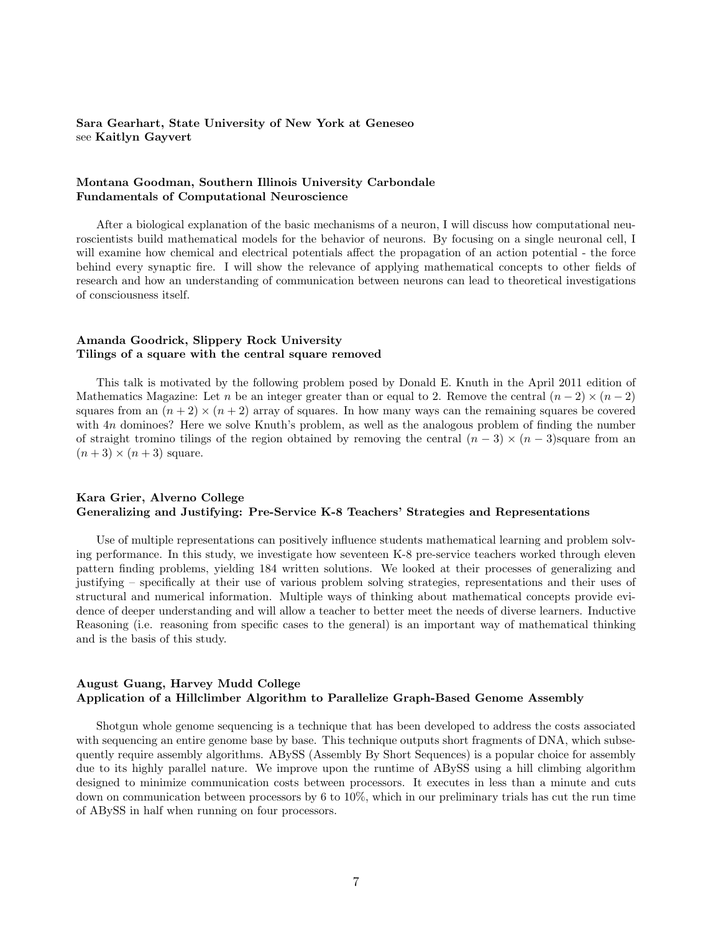#### Sara Gearhart, State University of New York at Geneseo see Kaitlyn Gayvert

#### Montana Goodman, Southern Illinois University Carbondale Fundamentals of Computational Neuroscience

After a biological explanation of the basic mechanisms of a neuron, I will discuss how computational neuroscientists build mathematical models for the behavior of neurons. By focusing on a single neuronal cell, I will examine how chemical and electrical potentials affect the propagation of an action potential - the force behind every synaptic fire. I will show the relevance of applying mathematical concepts to other fields of research and how an understanding of communication between neurons can lead to theoretical investigations of consciousness itself.

#### Amanda Goodrick, Slippery Rock University Tilings of a square with the central square removed

This talk is motivated by the following problem posed by Donald E. Knuth in the April 2011 edition of Mathematics Magazine: Let n be an integer greater than or equal to 2. Remove the central  $(n-2) \times (n-2)$ squares from an  $(n+2) \times (n+2)$  array of squares. In how many ways can the remaining squares be covered with 4n dominoes? Here we solve Knuth's problem, as well as the analogous problem of finding the number of straight tromino tilings of the region obtained by removing the central  $(n-3) \times (n-3)$ square from an  $(n+3) \times (n+3)$  square.

#### Kara Grier, Alverno College Generalizing and Justifying: Pre-Service K-8 Teachers' Strategies and Representations

Use of multiple representations can positively influence students mathematical learning and problem solving performance. In this study, we investigate how seventeen K-8 pre-service teachers worked through eleven pattern finding problems, yielding 184 written solutions. We looked at their processes of generalizing and justifying – specifically at their use of various problem solving strategies, representations and their uses of structural and numerical information. Multiple ways of thinking about mathematical concepts provide evidence of deeper understanding and will allow a teacher to better meet the needs of diverse learners. Inductive Reasoning (i.e. reasoning from specific cases to the general) is an important way of mathematical thinking and is the basis of this study.

#### August Guang, Harvey Mudd College Application of a Hillclimber Algorithm to Parallelize Graph-Based Genome Assembly

Shotgun whole genome sequencing is a technique that has been developed to address the costs associated with sequencing an entire genome base by base. This technique outputs short fragments of DNA, which subsequently require assembly algorithms. ABySS (Assembly By Short Sequences) is a popular choice for assembly due to its highly parallel nature. We improve upon the runtime of ABySS using a hill climbing algorithm designed to minimize communication costs between processors. It executes in less than a minute and cuts down on communication between processors by 6 to 10%, which in our preliminary trials has cut the run time of ABySS in half when running on four processors.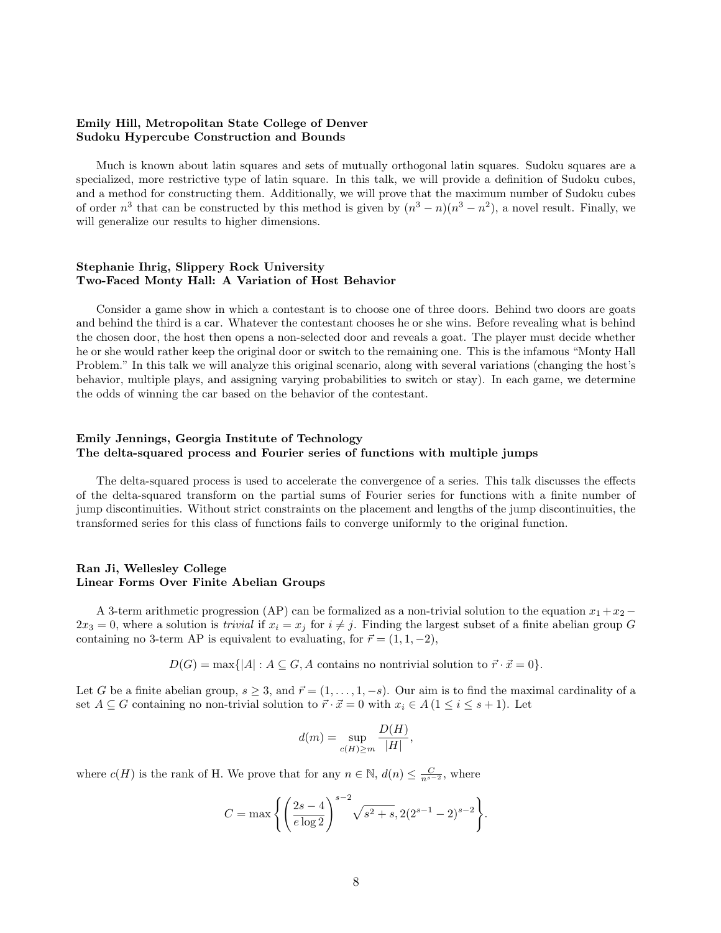#### Emily Hill, Metropolitan State College of Denver Sudoku Hypercube Construction and Bounds

Much is known about latin squares and sets of mutually orthogonal latin squares. Sudoku squares are a specialized, more restrictive type of latin square. In this talk, we will provide a definition of Sudoku cubes, and a method for constructing them. Additionally, we will prove that the maximum number of Sudoku cubes of order  $n^3$  that can be constructed by this method is given by  $(n^3 - n)(n^3 - n^2)$ , a novel result. Finally, we will generalize our results to higher dimensions.

#### Stephanie Ihrig, Slippery Rock University Two-Faced Monty Hall: A Variation of Host Behavior

Consider a game show in which a contestant is to choose one of three doors. Behind two doors are goats and behind the third is a car. Whatever the contestant chooses he or she wins. Before revealing what is behind the chosen door, the host then opens a non-selected door and reveals a goat. The player must decide whether he or she would rather keep the original door or switch to the remaining one. This is the infamous "Monty Hall Problem." In this talk we will analyze this original scenario, along with several variations (changing the host's behavior, multiple plays, and assigning varying probabilities to switch or stay). In each game, we determine the odds of winning the car based on the behavior of the contestant.

#### Emily Jennings, Georgia Institute of Technology The delta-squared process and Fourier series of functions with multiple jumps

The delta-squared process is used to accelerate the convergence of a series. This talk discusses the effects of the delta-squared transform on the partial sums of Fourier series for functions with a finite number of jump discontinuities. Without strict constraints on the placement and lengths of the jump discontinuities, the transformed series for this class of functions fails to converge uniformly to the original function.

#### Ran Ji, Wellesley College Linear Forms Over Finite Abelian Groups

A 3-term arithmetic progression (AP) can be formalized as a non-trivial solution to the equation  $x_1 + x_2 2x_3 = 0$ , where a solution is *trivial* if  $x_i = x_j$  for  $i \neq j$ . Finding the largest subset of a finite abelian group G containing no 3-term AP is equivalent to evaluating, for  $\vec{r} = (1, 1, -2)$ ,

 $D(G) = \max\{|A| : A \subseteq G, A \text{ contains no nontrivial solution to } \vec{r} \cdot \vec{x} = 0\}.$ 

Let G be a finite abelian group,  $s \geq 3$ , and  $\vec{r} = (1, \ldots, 1, -s)$ . Our aim is to find the maximal cardinality of a set  $A \subseteq G$  containing no non-trivial solution to  $\vec{r} \cdot \vec{x} = 0$  with  $x_i \in A$  ( $1 \le i \le s+1$ ). Let

$$
d(m) = \sup_{c(H) \ge m} \frac{D(H)}{|H|},
$$

where  $c(H)$  is the rank of H. We prove that for any  $n \in \mathbb{N}$ ,  $d(n) \leq \frac{C}{n^{s-2}}$ , where

$$
C = \max \left\{ \left( \frac{2s - 4}{e \log 2} \right)^{s - 2} \sqrt{s^2 + s}, 2(2^{s - 1} - 2)^{s - 2} \right\}.
$$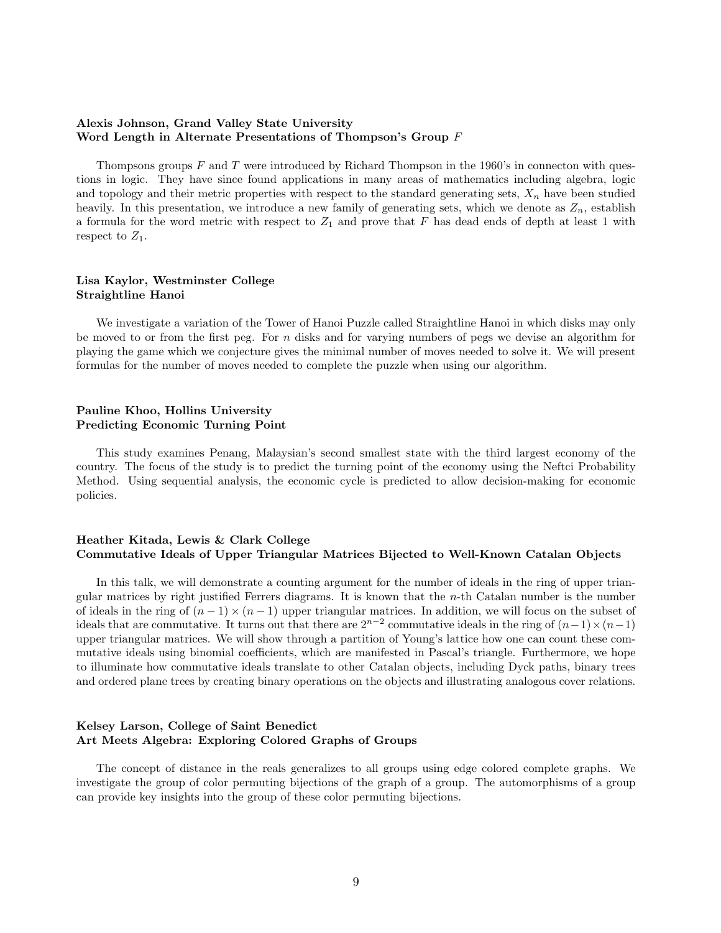#### Alexis Johnson, Grand Valley State University Word Length in Alternate Presentations of Thompson's Group  $F$

Thompsons groups  $F$  and  $T$  were introduced by Richard Thompson in the 1960's in connecton with questions in logic. They have since found applications in many areas of mathematics including algebra, logic and topology and their metric properties with respect to the standard generating sets,  $X_n$  have been studied heavily. In this presentation, we introduce a new family of generating sets, which we denote as  $Z_n$ , establish a formula for the word metric with respect to  $Z_1$  and prove that F has dead ends of depth at least 1 with respect to  $Z_1$ .

#### Lisa Kaylor, Westminster College Straightline Hanoi

We investigate a variation of the Tower of Hanoi Puzzle called Straightline Hanoi in which disks may only be moved to or from the first peg. For n disks and for varying numbers of pegs we devise an algorithm for playing the game which we conjecture gives the minimal number of moves needed to solve it. We will present formulas for the number of moves needed to complete the puzzle when using our algorithm.

#### Pauline Khoo, Hollins University Predicting Economic Turning Point

This study examines Penang, Malaysian's second smallest state with the third largest economy of the country. The focus of the study is to predict the turning point of the economy using the Neftci Probability Method. Using sequential analysis, the economic cycle is predicted to allow decision-making for economic policies.

#### Heather Kitada, Lewis & Clark College Commutative Ideals of Upper Triangular Matrices Bijected to Well-Known Catalan Objects

In this talk, we will demonstrate a counting argument for the number of ideals in the ring of upper triangular matrices by right justified Ferrers diagrams. It is known that the n-th Catalan number is the number of ideals in the ring of  $(n-1) \times (n-1)$  upper triangular matrices. In addition, we will focus on the subset of ideals that are commutative. It turns out that there are  $2^{n-2}$  commutative ideals in the ring of  $(n-1) \times (n-1)$ upper triangular matrices. We will show through a partition of Young's lattice how one can count these commutative ideals using binomial coefficients, which are manifested in Pascal's triangle. Furthermore, we hope to illuminate how commutative ideals translate to other Catalan objects, including Dyck paths, binary trees and ordered plane trees by creating binary operations on the objects and illustrating analogous cover relations.

#### Kelsey Larson, College of Saint Benedict Art Meets Algebra: Exploring Colored Graphs of Groups

The concept of distance in the reals generalizes to all groups using edge colored complete graphs. We investigate the group of color permuting bijections of the graph of a group. The automorphisms of a group can provide key insights into the group of these color permuting bijections.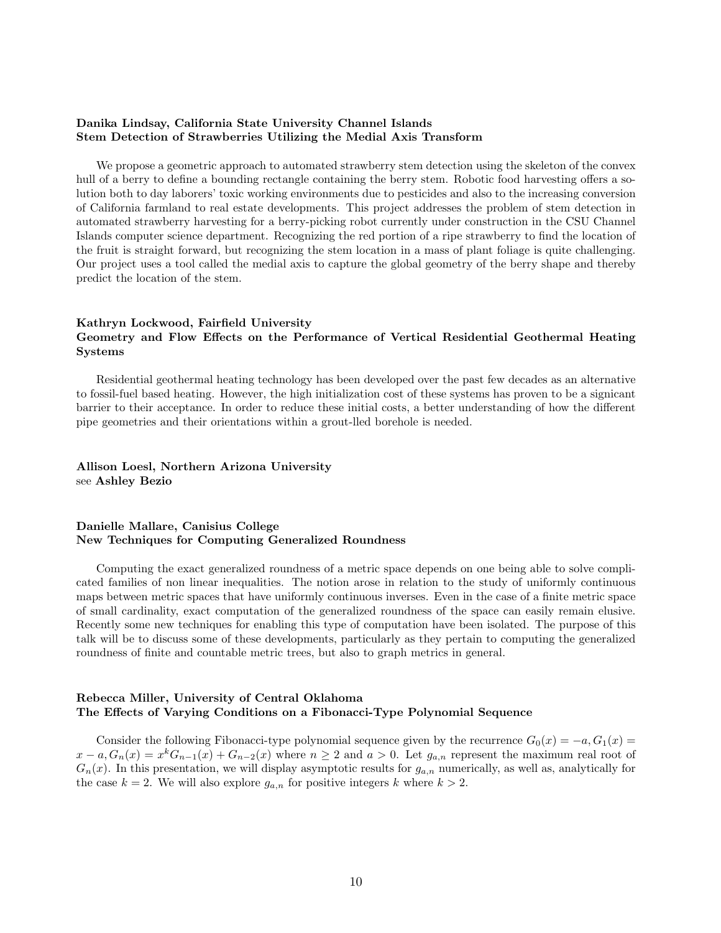#### Danika Lindsay, California State University Channel Islands Stem Detection of Strawberries Utilizing the Medial Axis Transform

We propose a geometric approach to automated strawberry stem detection using the skeleton of the convex hull of a berry to define a bounding rectangle containing the berry stem. Robotic food harvesting offers a solution both to day laborers' toxic working environments due to pesticides and also to the increasing conversion of California farmland to real estate developments. This project addresses the problem of stem detection in automated strawberry harvesting for a berry-picking robot currently under construction in the CSU Channel Islands computer science department. Recognizing the red portion of a ripe strawberry to find the location of the fruit is straight forward, but recognizing the stem location in a mass of plant foliage is quite challenging. Our project uses a tool called the medial axis to capture the global geometry of the berry shape and thereby predict the location of the stem.

#### Kathryn Lockwood, Fairfield University Geometry and Flow Effects on the Performance of Vertical Residential Geothermal Heating Systems

Residential geothermal heating technology has been developed over the past few decades as an alternative to fossil-fuel based heating. However, the high initialization cost of these systems has proven to be a signicant barrier to their acceptance. In order to reduce these initial costs, a better understanding of how the different pipe geometries and their orientations within a grout-lled borehole is needed.

#### Allison Loesl, Northern Arizona University see Ashley Bezio

#### Danielle Mallare, Canisius College New Techniques for Computing Generalized Roundness

Computing the exact generalized roundness of a metric space depends on one being able to solve complicated families of non linear inequalities. The notion arose in relation to the study of uniformly continuous maps between metric spaces that have uniformly continuous inverses. Even in the case of a finite metric space of small cardinality, exact computation of the generalized roundness of the space can easily remain elusive. Recently some new techniques for enabling this type of computation have been isolated. The purpose of this talk will be to discuss some of these developments, particularly as they pertain to computing the generalized roundness of finite and countable metric trees, but also to graph metrics in general.

#### Rebecca Miller, University of Central Oklahoma The Effects of Varying Conditions on a Fibonacci-Type Polynomial Sequence

Consider the following Fibonacci-type polynomial sequence given by the recurrence  $G_0(x) = -a, G_1(x) =$  $x-a$ ,  $G_n(x) = x^k G_{n-1}(x) + G_{n-2}(x)$  where  $n \ge 2$  and  $a > 0$ . Let  $g_{a,n}$  represent the maximum real root of  $G_n(x)$ . In this presentation, we will display asymptotic results for  $g_{a,n}$  numerically, as well as, analytically for the case  $k = 2$ . We will also explore  $g_{a,n}$  for positive integers k where  $k > 2$ .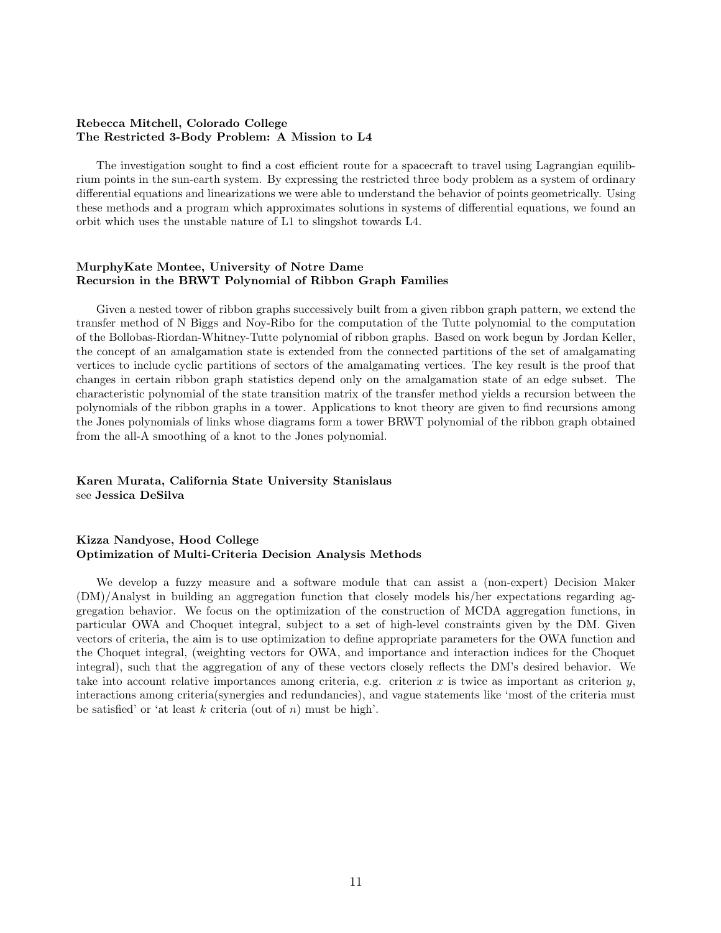#### Rebecca Mitchell, Colorado College The Restricted 3-Body Problem: A Mission to L4

The investigation sought to find a cost efficient route for a spacecraft to travel using Lagrangian equilibrium points in the sun-earth system. By expressing the restricted three body problem as a system of ordinary differential equations and linearizations we were able to understand the behavior of points geometrically. Using these methods and a program which approximates solutions in systems of differential equations, we found an orbit which uses the unstable nature of L1 to slingshot towards L4.

#### MurphyKate Montee, University of Notre Dame Recursion in the BRWT Polynomial of Ribbon Graph Families

Given a nested tower of ribbon graphs successively built from a given ribbon graph pattern, we extend the transfer method of N Biggs and Noy-Ribo for the computation of the Tutte polynomial to the computation of the Bollobas-Riordan-Whitney-Tutte polynomial of ribbon graphs. Based on work begun by Jordan Keller, the concept of an amalgamation state is extended from the connected partitions of the set of amalgamating vertices to include cyclic partitions of sectors of the amalgamating vertices. The key result is the proof that changes in certain ribbon graph statistics depend only on the amalgamation state of an edge subset. The characteristic polynomial of the state transition matrix of the transfer method yields a recursion between the polynomials of the ribbon graphs in a tower. Applications to knot theory are given to find recursions among the Jones polynomials of links whose diagrams form a tower BRWT polynomial of the ribbon graph obtained from the all-A smoothing of a knot to the Jones polynomial.

#### Karen Murata, California State University Stanislaus see Jessica DeSilva

#### Kizza Nandyose, Hood College Optimization of Multi-Criteria Decision Analysis Methods

We develop a fuzzy measure and a software module that can assist a (non-expert) Decision Maker (DM)/Analyst in building an aggregation function that closely models his/her expectations regarding aggregation behavior. We focus on the optimization of the construction of MCDA aggregation functions, in particular OWA and Choquet integral, subject to a set of high-level constraints given by the DM. Given vectors of criteria, the aim is to use optimization to define appropriate parameters for the OWA function and the Choquet integral, (weighting vectors for OWA, and importance and interaction indices for the Choquet integral), such that the aggregation of any of these vectors closely reflects the DM's desired behavior. We take into account relative importances among criteria, e.g. criterion  $x$  is twice as important as criterion  $y$ , interactions among criteria(synergies and redundancies), and vague statements like 'most of the criteria must be satisfied' or 'at least  $k$  criteria (out of  $n$ ) must be high'.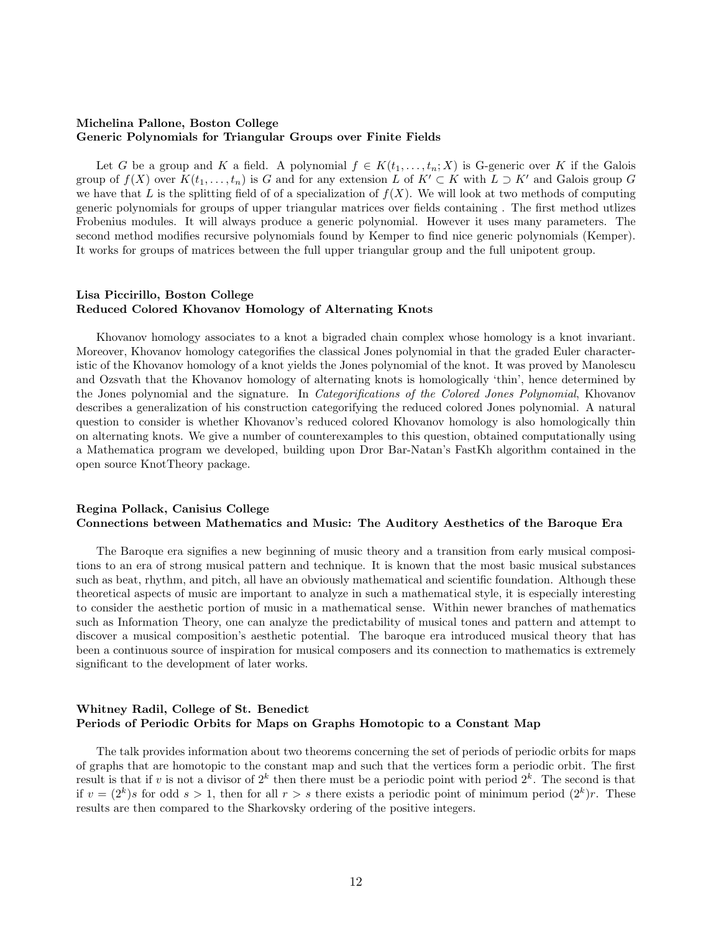#### Michelina Pallone, Boston College Generic Polynomials for Triangular Groups over Finite Fields

Let G be a group and K a field. A polynomial  $f \in K(t_1, \ldots, t_n; X)$  is G-generic over K if the Galois group of  $f(X)$  over  $K(t_1, \ldots, t_n)$  is G and for any extension L of  $K' \subset K$  with  $L \supset K'$  and Galois group G we have that L is the splitting field of of a specialization of  $f(X)$ . We will look at two methods of computing generic polynomials for groups of upper triangular matrices over fields containing . The first method utlizes Frobenius modules. It will always produce a generic polynomial. However it uses many parameters. The second method modifies recursive polynomials found by Kemper to find nice generic polynomials (Kemper). It works for groups of matrices between the full upper triangular group and the full unipotent group.

#### Lisa Piccirillo, Boston College Reduced Colored Khovanov Homology of Alternating Knots

Khovanov homology associates to a knot a bigraded chain complex whose homology is a knot invariant. Moreover, Khovanov homology categorifies the classical Jones polynomial in that the graded Euler characteristic of the Khovanov homology of a knot yields the Jones polynomial of the knot. It was proved by Manolescu and Ozsvath that the Khovanov homology of alternating knots is homologically 'thin', hence determined by the Jones polynomial and the signature. In Categorifications of the Colored Jones Polynomial, Khovanov describes a generalization of his construction categorifying the reduced colored Jones polynomial. A natural question to consider is whether Khovanov's reduced colored Khovanov homology is also homologically thin on alternating knots. We give a number of counterexamples to this question, obtained computationally using a Mathematica program we developed, building upon Dror Bar-Natan's FastKh algorithm contained in the open source KnotTheory package.

#### Regina Pollack, Canisius College Connections between Mathematics and Music: The Auditory Aesthetics of the Baroque Era

The Baroque era signifies a new beginning of music theory and a transition from early musical compositions to an era of strong musical pattern and technique. It is known that the most basic musical substances such as beat, rhythm, and pitch, all have an obviously mathematical and scientific foundation. Although these theoretical aspects of music are important to analyze in such a mathematical style, it is especially interesting to consider the aesthetic portion of music in a mathematical sense. Within newer branches of mathematics such as Information Theory, one can analyze the predictability of musical tones and pattern and attempt to discover a musical composition's aesthetic potential. The baroque era introduced musical theory that has been a continuous source of inspiration for musical composers and its connection to mathematics is extremely significant to the development of later works.

#### Whitney Radil, College of St. Benedict Periods of Periodic Orbits for Maps on Graphs Homotopic to a Constant Map

The talk provides information about two theorems concerning the set of periods of periodic orbits for maps of graphs that are homotopic to the constant map and such that the vertices form a periodic orbit. The first result is that if v is not a divisor of  $2^k$  then there must be a periodic point with period  $2^k$ . The second is that if  $v = (2^k)s$  for odd  $s > 1$ , then for all  $r > s$  there exists a periodic point of minimum period  $(2^k)r$ . These results are then compared to the Sharkovsky ordering of the positive integers.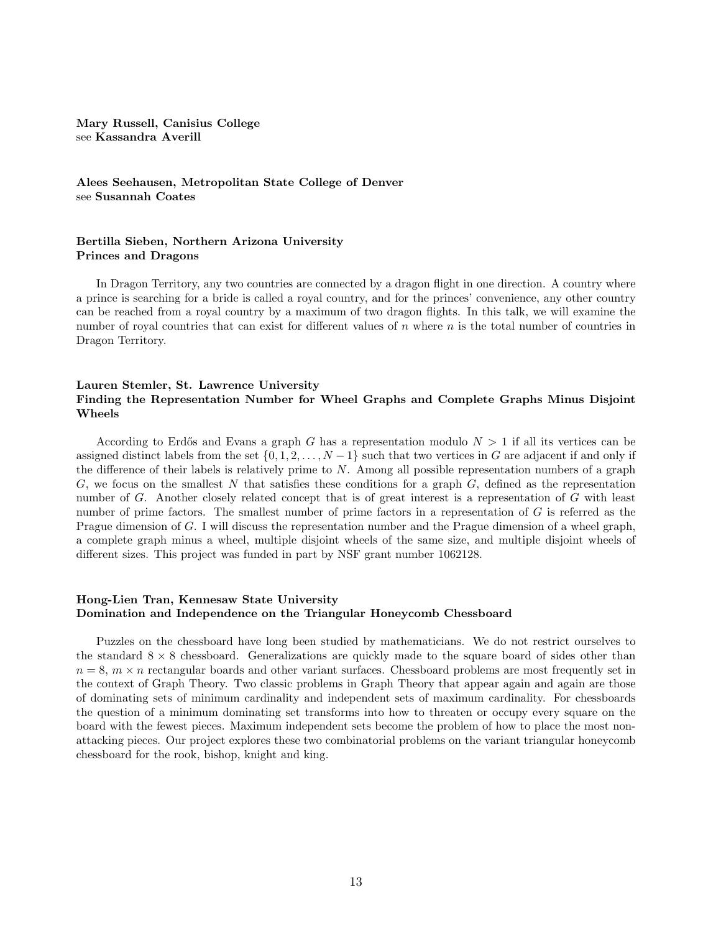Mary Russell, Canisius College see Kassandra Averill

Alees Seehausen, Metropolitan State College of Denver see Susannah Coates

#### Bertilla Sieben, Northern Arizona University Princes and Dragons

In Dragon Territory, any two countries are connected by a dragon flight in one direction. A country where a prince is searching for a bride is called a royal country, and for the princes' convenience, any other country can be reached from a royal country by a maximum of two dragon flights. In this talk, we will examine the number of royal countries that can exist for different values of n where n is the total number of countries in Dragon Territory.

#### Lauren Stemler, St. Lawrence University Finding the Representation Number for Wheel Graphs and Complete Graphs Minus Disjoint Wheels

According to Erdős and Evans a graph G has a representation modulo  $N > 1$  if all its vertices can be assigned distinct labels from the set  $\{0, 1, 2, \ldots, N-1\}$  such that two vertices in G are adjacent if and only if the difference of their labels is relatively prime to N. Among all possible representation numbers of a graph  $G$ , we focus on the smallest N that satisfies these conditions for a graph  $G$ , defined as the representation number of G. Another closely related concept that is of great interest is a representation of G with least number of prime factors. The smallest number of prime factors in a representation of G is referred as the Prague dimension of G. I will discuss the representation number and the Prague dimension of a wheel graph, a complete graph minus a wheel, multiple disjoint wheels of the same size, and multiple disjoint wheels of different sizes. This project was funded in part by NSF grant number 1062128.

#### Hong-Lien Tran, Kennesaw State University Domination and Independence on the Triangular Honeycomb Chessboard

Puzzles on the chessboard have long been studied by mathematicians. We do not restrict ourselves to the standard  $8 \times 8$  chessboard. Generalizations are quickly made to the square board of sides other than  $n = 8$ ,  $m \times n$  rectangular boards and other variant surfaces. Chessboard problems are most frequently set in the context of Graph Theory. Two classic problems in Graph Theory that appear again and again are those of dominating sets of minimum cardinality and independent sets of maximum cardinality. For chessboards the question of a minimum dominating set transforms into how to threaten or occupy every square on the board with the fewest pieces. Maximum independent sets become the problem of how to place the most nonattacking pieces. Our project explores these two combinatorial problems on the variant triangular honeycomb chessboard for the rook, bishop, knight and king.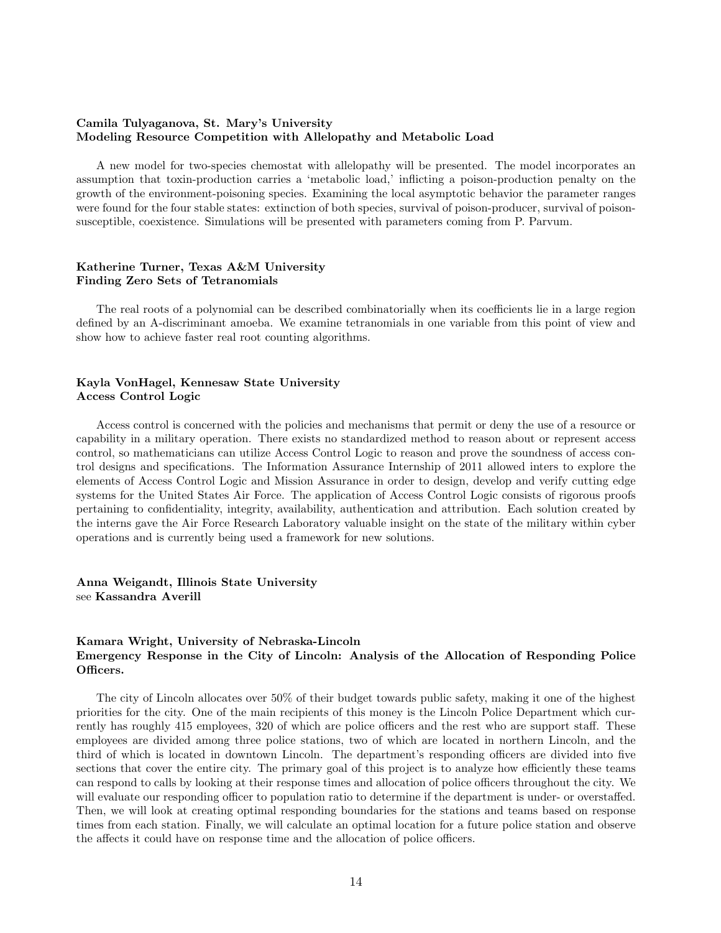#### Camila Tulyaganova, St. Mary's University Modeling Resource Competition with Allelopathy and Metabolic Load

A new model for two-species chemostat with allelopathy will be presented. The model incorporates an assumption that toxin-production carries a 'metabolic load,' inflicting a poison-production penalty on the growth of the environment-poisoning species. Examining the local asymptotic behavior the parameter ranges were found for the four stable states: extinction of both species, survival of poison-producer, survival of poisonsusceptible, coexistence. Simulations will be presented with parameters coming from P. Parvum.

#### Katherine Turner, Texas A&M University Finding Zero Sets of Tetranomials

The real roots of a polynomial can be described combinatorially when its coefficients lie in a large region defined by an A-discriminant amoeba. We examine tetranomials in one variable from this point of view and show how to achieve faster real root counting algorithms.

#### Kayla VonHagel, Kennesaw State University Access Control Logic

Access control is concerned with the policies and mechanisms that permit or deny the use of a resource or capability in a military operation. There exists no standardized method to reason about or represent access control, so mathematicians can utilize Access Control Logic to reason and prove the soundness of access control designs and specifications. The Information Assurance Internship of 2011 allowed inters to explore the elements of Access Control Logic and Mission Assurance in order to design, develop and verify cutting edge systems for the United States Air Force. The application of Access Control Logic consists of rigorous proofs pertaining to confidentiality, integrity, availability, authentication and attribution. Each solution created by the interns gave the Air Force Research Laboratory valuable insight on the state of the military within cyber operations and is currently being used a framework for new solutions.

Anna Weigandt, Illinois State University see Kassandra Averill

#### Kamara Wright, University of Nebraska-Lincoln

#### Emergency Response in the City of Lincoln: Analysis of the Allocation of Responding Police Officers.

The city of Lincoln allocates over 50% of their budget towards public safety, making it one of the highest priorities for the city. One of the main recipients of this money is the Lincoln Police Department which currently has roughly 415 employees, 320 of which are police officers and the rest who are support staff. These employees are divided among three police stations, two of which are located in northern Lincoln, and the third of which is located in downtown Lincoln. The department's responding officers are divided into five sections that cover the entire city. The primary goal of this project is to analyze how efficiently these teams can respond to calls by looking at their response times and allocation of police officers throughout the city. We will evaluate our responding officer to population ratio to determine if the department is under- or overstaffed. Then, we will look at creating optimal responding boundaries for the stations and teams based on response times from each station. Finally, we will calculate an optimal location for a future police station and observe the affects it could have on response time and the allocation of police officers.